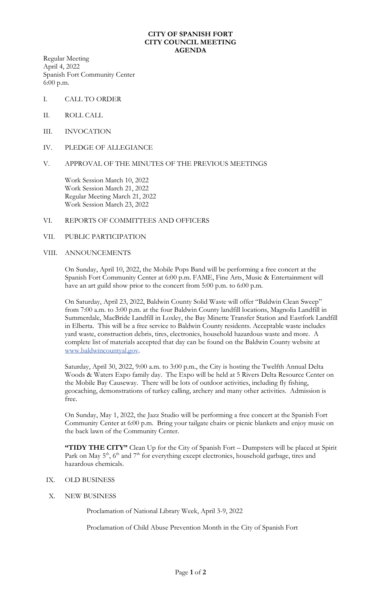### **CITY OF SPANISH FORT CITY COUNCIL MEETING AGENDA**

Regular Meeting April 4, 2022 Spanish Fort Community Center 6:00 p.m.

- I. CALL TO ORDER
- II. ROLL CALL
- III. INVOCATION
- IV. PLEDGE OF ALLEGIANCE

# V. APPROVAL OF THE MINUTES OF THE PREVIOUS MEETINGS

Work Session March 10, 2022 Work Session March 21, 2022 Regular Meeting March 21, 2022 Work Session March 23, 2022

# VI. REPORTS OF COMMITTEES AND OFFICERS

VII. PUBLIC PARTICIPATION

### VIII. ANNOUNCEMENTS

On Sunday, April 10, 2022, the Mobile Pops Band will be performing a free concert at the Spanish Fort Community Center at 6:00 p.m. FAME, Fine Arts, Music & Entertainment will have an art guild show prior to the concert from 5:00 p.m. to 6:00 p.m.

On Saturday, April 23, 2022, Baldwin County Solid Waste will offer "Baldwin Clean Sweep" from 7:00 a.m. to 3:00 p.m. at the four Baldwin County landfill locations, Magnolia Landfill in Summerdale, MacBride Landfill in Loxley, the Bay Minette Transfer Station and Eastfork Landfill in Elberta. This will be a free service to Baldwin County residents. Acceptable waste includes yard waste, construction debris, tires, electronics, household hazardous waste and more. A complete list of materials accepted that day can be found on the Baldwin County website at [www.baldwincountyal.gov.](http://www.baldwincountyal.gov/)

Saturday, April 30, 2022, 9:00 a.m. to 3:00 p.m., the City is hosting the Twelfth Annual Delta Woods & Waters Expo family day. The Expo will be held at 5 Rivers Delta Resource Center on the Mobile Bay Causeway. There will be lots of outdoor activities, including fly fishing, geocaching, demonstrations of turkey calling, archery and many other activities. Admission is free.

On Sunday, May 1, 2022, the Jazz Studio will be performing a free concert at the Spanish Fort Community Center at 6:00 p.m. Bring your tailgate chairs or picnic blankets and enjoy music on the back lawn of the Community Center.

**"TIDY THE CITY"** Clean Up for the City of Spanish Fort – Dumpsters will be placed at Spirit Park on May  $5<sup>th</sup>$ ,  $6<sup>th</sup>$  and  $7<sup>th</sup>$  for everything except electronics, household garbage, tires and hazardous chemicals.

### IX. OLD BUSINESS

X. NEW BUSINESS

Proclamation of National Library Week, April 3-9, 2022

Proclamation of Child Abuse Prevention Month in the City of Spanish Fort